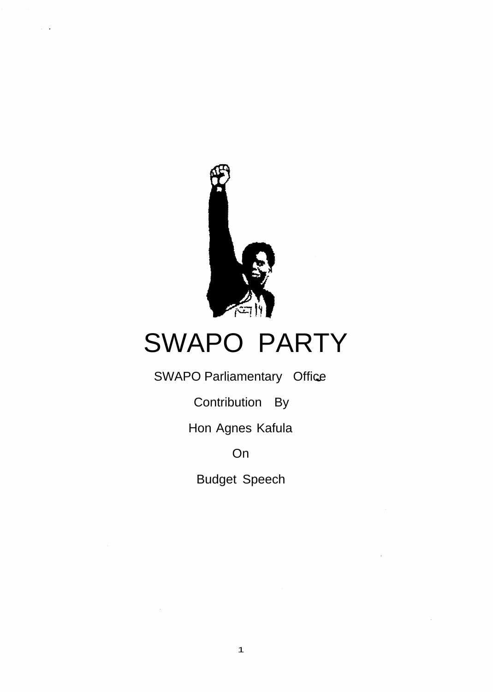

# SWAPO PARTY

SWAPO Parliamentary Office

Contribution By

Hon Agnes Kafula

On

Budget Speech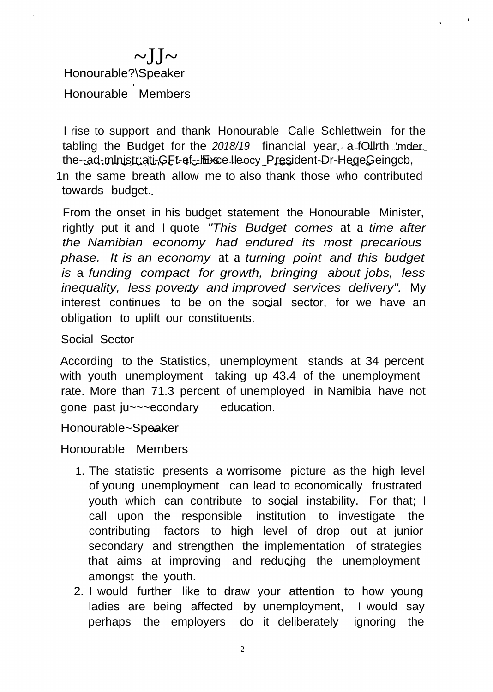# $\sim$ JJ $\sim$ Honourable?\Speaker Honourable Members

I rise to support and thank Honourable Calle Schlettwein for the tabling the Budget for the 2018/19 financial year, a fOllrth 'mder the--ad-ministriati-GFt-ef--hi-sce Ileocy President-Dr-HegeGeingcb,

1n the same breath allow me to also thank those who contributed towards budget.

From the onset in his budget statement the Honourable Minister, rightly put it and I quote *"This Budget comes* at a *time after the Namibian economy had endured its most precarious phase. It is an economy* at a *turning point and this budget is* a *funding compact for growth, bringing about jobs, less inequality, less poverty and improved services delivery".* My interest continues to be on the social sector, for we have an obligation to uplift our constituents.

#### Social Sector

According to the Statistics, unemployment stands at 34 percent with youth unemployment taking up 43.4 of the unemployment rate. More than 71.3 percent of unemployed in Namibia have not gone past ju~~~econdary education.

Honourable~Speaker

Honourable Members

- 1. The statistic presents a worrisome picture as the high level of young unemployment can lead to economically frustrated youth which can contribute to social instability. For that; I call upon the responsible institution to investigate the contributing factors to high level of drop out at junior secondary and strengthen the implementation of strategies that aims at improving and reducing the unemployment amongst the youth.
- 2. I would further like to draw your attention to how young ladies are being affected by unemployment, I would say perhaps the employers do it deliberately ignoring the

2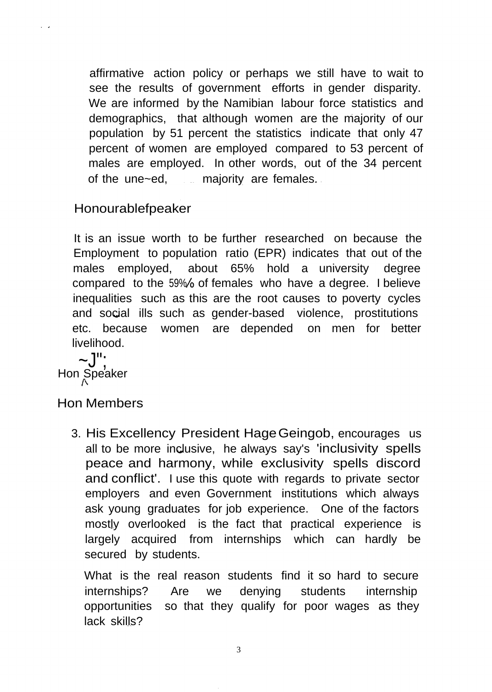affirmative action policy or perhaps we still have to wait to see the results of government efforts in gender disparity. We are informed by the Namibian labour force statistics and demographics, that although women are the majority of our population by 51 percent the statistics indicate that only 47 percent of women are employed compared to 53 percent of males are employed. In other words, out of the 34 percent of the une~ed, majority are females.

## Honourablefpeaker

It is an issue worth to be further researched on because the Employment to population ratio (EPR) indicates that out of the males employed, about 65% hold a university degree compared to the 59% of females who have a degree. I believe inequalities such as this are the root causes to poverty cycles and social ills such as gender-based violence, prostitutions etc. because women are depended on men for better livelihood.

 $\sim$ .  $\vert$ ": Hon Speaker

 $\sim$ 

### Hon Members

3. His Excellency President HageGeingob, encourages us all to be more inclusive, he always say's 'inclusivity spells peace and harmony, while exclusivity spells discord and conflict'. I use this quote with regards to private sector employers and even Government institutions which always ask young graduates for job experience. One of the factors mostly overlooked is the fact that practical experience is largely acquired from internships which can hardly be secured by students.

What is the real reason students find it so hard to secure internships? Are we denying students internship opportunities so that they qualify for poor wages as they lack skills?

3